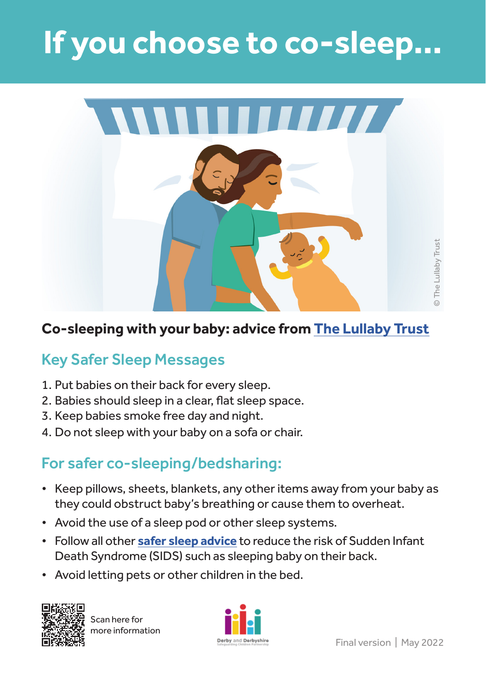## **If you choose to co-sleep…**



## **Co-sleeping with your baby: advice from [The Lullaby Trust](https://www.lullabytrust.org.uk/safer-sleep-advice/co-sleeping/)**

## Key Safer Sleep Messages

- 1. Put babies on their back for every sleep.
- 2. Babies should sleep in a clear, flat sleep space.
- 3. Keep babies smoke free day and night.
- 4. Do not sleep with your baby on a sofa or chair.

## For safer co-sleeping/bedsharing:

- Keep pillows, sheets, blankets, any other items away from your baby as they could obstruct baby's breathing or cause them to overheat.
- Avoid the use of a sleep pod or other sleep systems.
- Follow all other **[safer sleep advice](https://www.lullabytrust.org.uk/safer-sleep-advice/)** to reduce the risk of Sudden Infant Death Syndrome (SIDS) such as sleeping baby on their back.
- Avoid letting pets or other children in the bed.



Scan here for more information